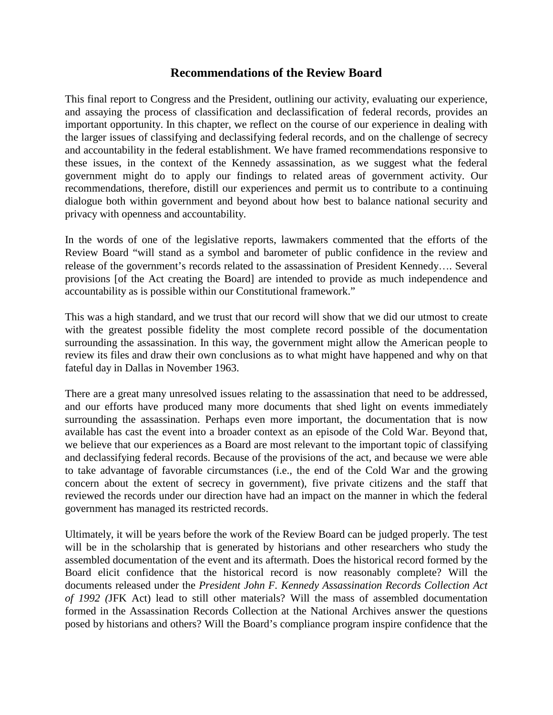# **Recommendations of the Review Board**

This final report to Congress and the President, outlining our activity, evaluating our experience, and assaying the process of classification and declassification of federal records, provides an important opportunity. In this chapter, we reflect on the course of our experience in dealing with the larger issues of classifying and declassifying federal records, and on the challenge of secrecy and accountability in the federal establishment. We have framed recommendations responsive to these issues, in the context of the Kennedy assassination, as we suggest what the federal government might do to apply our findings to related areas of government activity. Our recommendations, therefore, distill our experiences and permit us to contribute to a continuing dialogue both within government and beyond about how best to balance national security and privacy with openness and accountability.

In the words of one of the legislative reports, lawmakers commented that the efforts of the Review Board "will stand as a symbol and barometer of public confidence in the review and release of the government's records related to the assassination of President Kennedy…. Several provisions [of the Act creating the Board] are intended to provide as much independence and accountability as is possible within our Constitutional framework."

This was a high standard, and we trust that our record will show that we did our utmost to create with the greatest possible fidelity the most complete record possible of the documentation surrounding the assassination. In this way, the government might allow the American people to review its files and draw their own conclusions as to what might have happened and why on that fateful day in Dallas in November 1963.

There are a great many unresolved issues relating to the assassination that need to be addressed, and our efforts have produced many more documents that shed light on events immediately surrounding the assassination. Perhaps even more important, the documentation that is now available has cast the event into a broader context as an episode of the Cold War. Beyond that, we believe that our experiences as a Board are most relevant to the important topic of classifying and declassifying federal records. Because of the provisions of the act, and because we were able to take advantage of favorable circumstances (i.e., the end of the Cold War and the growing concern about the extent of secrecy in government), five private citizens and the staff that reviewed the records under our direction have had an impact on the manner in which the federal government has managed its restricted records.

Ultimately, it will be years before the work of the Review Board can be judged properly. The test will be in the scholarship that is generated by historians and other researchers who study the assembled documentation of the event and its aftermath. Does the historical record formed by the Board elicit confidence that the historical record is now reasonably complete? Will the documents released under the *President John F. Kennedy Assassination Records Collection Act of 1992 (*JFK Act) lead to still other materials? Will the mass of assembled documentation formed in the Assassination Records Collection at the National Archives answer the questions posed by historians and others? Will the Board's compliance program inspire confidence that the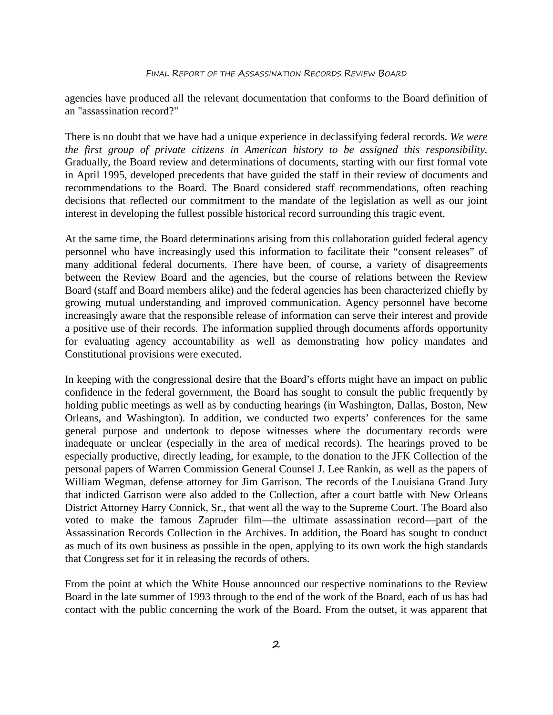agencies have produced all the relevant documentation that conforms to the Board definition of an "assassination record?"

There is no doubt that we have had a unique experience in declassifying federal records. *We were the first group of private citizens in American history to be assigned this responsibility.* Gradually, the Board review and determinations of documents, starting with our first formal vote in April 1995, developed precedents that have guided the staff in their review of documents and recommendations to the Board. The Board considered staff recommendations, often reaching decisions that reflected our commitment to the mandate of the legislation as well as our joint interest in developing the fullest possible historical record surrounding this tragic event.

At the same time, the Board determinations arising from this collaboration guided federal agency personnel who have increasingly used this information to facilitate their "consent releases" of many additional federal documents. There have been, of course, a variety of disagreements between the Review Board and the agencies, but the course of relations between the Review Board (staff and Board members alike) and the federal agencies has been characterized chiefly by growing mutual understanding and improved communication. Agency personnel have become increasingly aware that the responsible release of information can serve their interest and provide a positive use of their records. The information supplied through documents affords opportunity for evaluating agency accountability as well as demonstrating how policy mandates and Constitutional provisions were executed.

In keeping with the congressional desire that the Board's efforts might have an impact on public confidence in the federal government, the Board has sought to consult the public frequently by holding public meetings as well as by conducting hearings (in Washington, Dallas, Boston, New Orleans, and Washington). In addition, we conducted two experts' conferences for the same general purpose and undertook to depose witnesses where the documentary records were inadequate or unclear (especially in the area of medical records). The hearings proved to be especially productive, directly leading, for example, to the donation to the JFK Collection of the personal papers of Warren Commission General Counsel J. Lee Rankin, as well as the papers of William Wegman, defense attorney for Jim Garrison. The records of the Louisiana Grand Jury that indicted Garrison were also added to the Collection, after a court battle with New Orleans District Attorney Harry Connick, Sr., that went all the way to the Supreme Court. The Board also voted to make the famous Zapruder film—the ultimate assassination record—part of the Assassination Records Collection in the Archives. In addition, the Board has sought to conduct as much of its own business as possible in the open, applying to its own work the high standards that Congress set for it in releasing the records of others.

From the point at which the White House announced our respective nominations to the Review Board in the late summer of 1993 through to the end of the work of the Board, each of us has had contact with the public concerning the work of the Board. From the outset, it was apparent that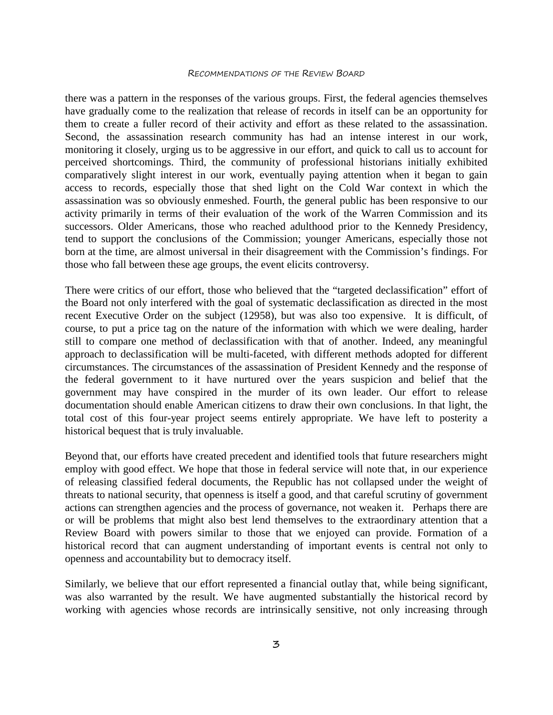#### RECOMMENDATIONS OF THE REVIEW BOARD

there was a pattern in the responses of the various groups. First, the federal agencies themselves have gradually come to the realization that release of records in itself can be an opportunity for them to create a fuller record of their activity and effort as these related to the assassination. Second, the assassination research community has had an intense interest in our work, monitoring it closely, urging us to be aggressive in our effort, and quick to call us to account for perceived shortcomings. Third, the community of professional historians initially exhibited comparatively slight interest in our work, eventually paying attention when it began to gain access to records, especially those that shed light on the Cold War context in which the assassination was so obviously enmeshed. Fourth, the general public has been responsive to our activity primarily in terms of their evaluation of the work of the Warren Commission and its successors. Older Americans, those who reached adulthood prior to the Kennedy Presidency, tend to support the conclusions of the Commission; younger Americans, especially those not born at the time, are almost universal in their disagreement with the Commission's findings. For those who fall between these age groups, the event elicits controversy.

There were critics of our effort, those who believed that the "targeted declassification" effort of the Board not only interfered with the goal of systematic declassification as directed in the most recent Executive Order on the subject (12958), but was also too expensive. It is difficult, of course, to put a price tag on the nature of the information with which we were dealing, harder still to compare one method of declassification with that of another. Indeed, any meaningful approach to declassification will be multi-faceted, with different methods adopted for different circumstances. The circumstances of the assassination of President Kennedy and the response of the federal government to it have nurtured over the years suspicion and belief that the government may have conspired in the murder of its own leader. Our effort to release documentation should enable American citizens to draw their own conclusions. In that light, the total cost of this four-year project seems entirely appropriate. We have left to posterity a historical bequest that is truly invaluable.

Beyond that, our efforts have created precedent and identified tools that future researchers might employ with good effect. We hope that those in federal service will note that, in our experience of releasing classified federal documents, the Republic has not collapsed under the weight of threats to national security, that openness is itself a good, and that careful scrutiny of government actions can strengthen agencies and the process of governance, not weaken it. Perhaps there are or will be problems that might also best lend themselves to the extraordinary attention that a Review Board with powers similar to those that we enjoyed can provide. Formation of a historical record that can augment understanding of important events is central not only to openness and accountability but to democracy itself.

Similarly, we believe that our effort represented a financial outlay that, while being significant, was also warranted by the result. We have augmented substantially the historical record by working with agencies whose records are intrinsically sensitive, not only increasing through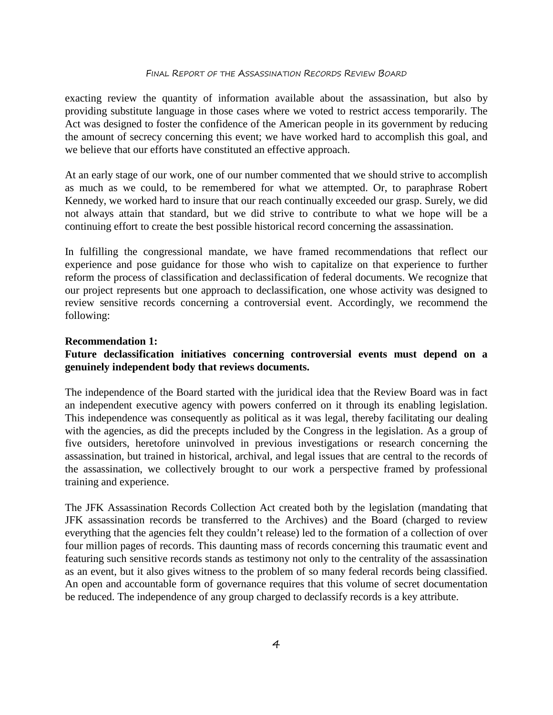### FINAL REPORT OF THE ASSASSINATION RECORDS REVIEW BOARD

exacting review the quantity of information available about the assassination, but also by providing substitute language in those cases where we voted to restrict access temporarily. The Act was designed to foster the confidence of the American people in its government by reducing the amount of secrecy concerning this event; we have worked hard to accomplish this goal, and we believe that our efforts have constituted an effective approach.

At an early stage of our work, one of our number commented that we should strive to accomplish as much as we could, to be remembered for what we attempted. Or, to paraphrase Robert Kennedy, we worked hard to insure that our reach continually exceeded our grasp. Surely, we did not always attain that standard, but we did strive to contribute to what we hope will be a continuing effort to create the best possible historical record concerning the assassination.

In fulfilling the congressional mandate, we have framed recommendations that reflect our experience and pose guidance for those who wish to capitalize on that experience to further reform the process of classification and declassification of federal documents. We recognize that our project represents but one approach to declassification, one whose activity was designed to review sensitive records concerning a controversial event. Accordingly, we recommend the following:

# **Recommendation 1:**

# **Future declassification initiatives concerning controversial events must depend on a genuinely independent body that reviews documents.**

The independence of the Board started with the juridical idea that the Review Board was in fact an independent executive agency with powers conferred on it through its enabling legislation. This independence was consequently as political as it was legal, thereby facilitating our dealing with the agencies, as did the precepts included by the Congress in the legislation. As a group of five outsiders, heretofore uninvolved in previous investigations or research concerning the assassination, but trained in historical, archival, and legal issues that are central to the records of the assassination, we collectively brought to our work a perspective framed by professional training and experience.

The JFK Assassination Records Collection Act created both by the legislation (mandating that JFK assassination records be transferred to the Archives) and the Board (charged to review everything that the agencies felt they couldn't release) led to the formation of a collection of over four million pages of records. This daunting mass of records concerning this traumatic event and featuring such sensitive records stands as testimony not only to the centrality of the assassination as an event, but it also gives witness to the problem of so many federal records being classified. An open and accountable form of governance requires that this volume of secret documentation be reduced. The independence of any group charged to declassify records is a key attribute.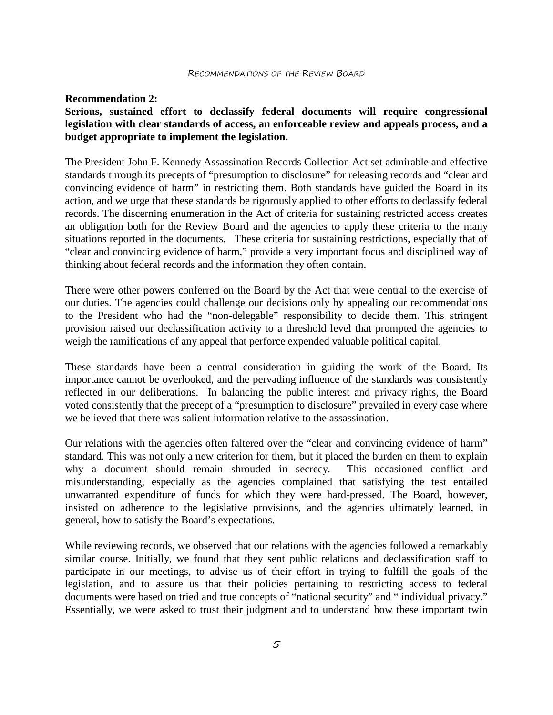### **Recommendation 2:**

# **Serious, sustained effort to declassify federal documents will require congressional legislation with clear standards of access, an enforceable review and appeals process, and a budget appropriate to implement the legislation.**

The President John F. Kennedy Assassination Records Collection Act set admirable and effective standards through its precepts of "presumption to disclosure" for releasing records and "clear and convincing evidence of harm" in restricting them. Both standards have guided the Board in its action, and we urge that these standards be rigorously applied to other efforts to declassify federal records. The discerning enumeration in the Act of criteria for sustaining restricted access creates an obligation both for the Review Board and the agencies to apply these criteria to the many situations reported in the documents. These criteria for sustaining restrictions, especially that of "clear and convincing evidence of harm," provide a very important focus and disciplined way of thinking about federal records and the information they often contain.

There were other powers conferred on the Board by the Act that were central to the exercise of our duties. The agencies could challenge our decisions only by appealing our recommendations to the President who had the "non-delegable" responsibility to decide them. This stringent provision raised our declassification activity to a threshold level that prompted the agencies to weigh the ramifications of any appeal that perforce expended valuable political capital.

These standards have been a central consideration in guiding the work of the Board. Its importance cannot be overlooked, and the pervading influence of the standards was consistently reflected in our deliberations. In balancing the public interest and privacy rights, the Board voted consistently that the precept of a "presumption to disclosure" prevailed in every case where we believed that there was salient information relative to the assassination.

Our relations with the agencies often faltered over the "clear and convincing evidence of harm" standard. This was not only a new criterion for them, but it placed the burden on them to explain why a document should remain shrouded in secrecy. This occasioned conflict and misunderstanding, especially as the agencies complained that satisfying the test entailed unwarranted expenditure of funds for which they were hard-pressed. The Board, however, insisted on adherence to the legislative provisions, and the agencies ultimately learned, in general, how to satisfy the Board's expectations.

While reviewing records, we observed that our relations with the agencies followed a remarkably similar course. Initially, we found that they sent public relations and declassification staff to participate in our meetings, to advise us of their effort in trying to fulfill the goals of the legislation, and to assure us that their policies pertaining to restricting access to federal documents were based on tried and true concepts of "national security" and " individual privacy." Essentially, we were asked to trust their judgment and to understand how these important twin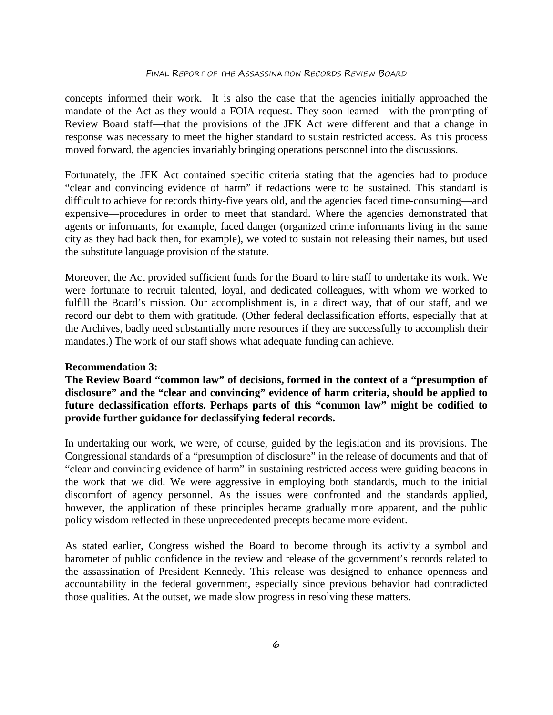concepts informed their work. It is also the case that the agencies initially approached the mandate of the Act as they would a FOIA request. They soon learned—with the prompting of Review Board staff—that the provisions of the JFK Act were different and that a change in response was necessary to meet the higher standard to sustain restricted access. As this process moved forward, the agencies invariably bringing operations personnel into the discussions.

Fortunately, the JFK Act contained specific criteria stating that the agencies had to produce "clear and convincing evidence of harm" if redactions were to be sustained. This standard is difficult to achieve for records thirty-five years old, and the agencies faced time-consuming—and expensive—procedures in order to meet that standard. Where the agencies demonstrated that agents or informants, for example, faced danger (organized crime informants living in the same city as they had back then, for example), we voted to sustain not releasing their names, but used the substitute language provision of the statute.

Moreover, the Act provided sufficient funds for the Board to hire staff to undertake its work. We were fortunate to recruit talented, loyal, and dedicated colleagues, with whom we worked to fulfill the Board's mission. Our accomplishment is, in a direct way, that of our staff, and we record our debt to them with gratitude. (Other federal declassification efforts, especially that at the Archives, badly need substantially more resources if they are successfully to accomplish their mandates.) The work of our staff shows what adequate funding can achieve.

### **Recommendation 3:**

**The Review Board "common law" of decisions, formed in the context of a "presumption of disclosure" and the "clear and convincing" evidence of harm criteria, should be applied to future declassification efforts. Perhaps parts of this "common law" might be codified to provide further guidance for declassifying federal records.**

In undertaking our work, we were, of course, guided by the legislation and its provisions. The Congressional standards of a "presumption of disclosure" in the release of documents and that of "clear and convincing evidence of harm" in sustaining restricted access were guiding beacons in the work that we did. We were aggressive in employing both standards, much to the initial discomfort of agency personnel. As the issues were confronted and the standards applied, however, the application of these principles became gradually more apparent, and the public policy wisdom reflected in these unprecedented precepts became more evident.

As stated earlier, Congress wished the Board to become through its activity a symbol and barometer of public confidence in the review and release of the government's records related to the assassination of President Kennedy. This release was designed to enhance openness and accountability in the federal government, especially since previous behavior had contradicted those qualities. At the outset, we made slow progress in resolving these matters.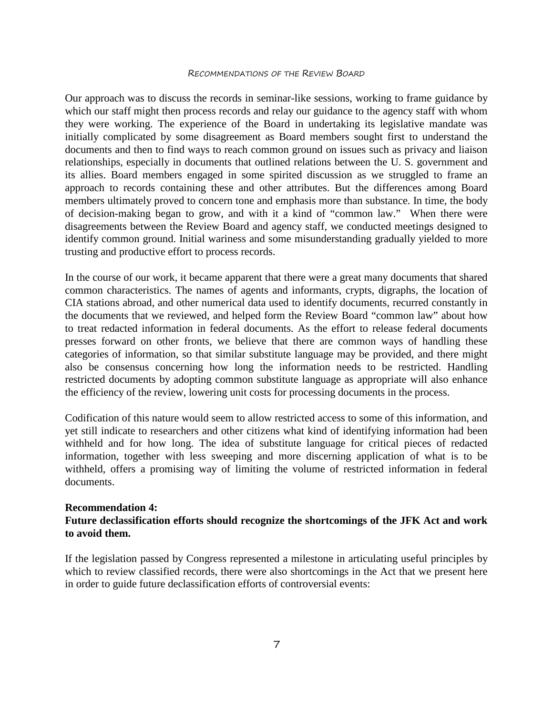### RECOMMENDATIONS OF THE REVIEW BOARD

Our approach was to discuss the records in seminar-like sessions, working to frame guidance by which our staff might then process records and relay our guidance to the agency staff with whom they were working. The experience of the Board in undertaking its legislative mandate was initially complicated by some disagreement as Board members sought first to understand the documents and then to find ways to reach common ground on issues such as privacy and liaison relationships, especially in documents that outlined relations between the U. S. government and its allies. Board members engaged in some spirited discussion as we struggled to frame an approach to records containing these and other attributes. But the differences among Board members ultimately proved to concern tone and emphasis more than substance. In time, the body of decision-making began to grow, and with it a kind of "common law." When there were disagreements between the Review Board and agency staff, we conducted meetings designed to identify common ground. Initial wariness and some misunderstanding gradually yielded to more trusting and productive effort to process records.

In the course of our work, it became apparent that there were a great many documents that shared common characteristics. The names of agents and informants, crypts, digraphs, the location of CIA stations abroad, and other numerical data used to identify documents, recurred constantly in the documents that we reviewed, and helped form the Review Board "common law" about how to treat redacted information in federal documents. As the effort to release federal documents presses forward on other fronts, we believe that there are common ways of handling these categories of information, so that similar substitute language may be provided, and there might also be consensus concerning how long the information needs to be restricted. Handling restricted documents by adopting common substitute language as appropriate will also enhance the efficiency of the review, lowering unit costs for processing documents in the process.

Codification of this nature would seem to allow restricted access to some of this information, and yet still indicate to researchers and other citizens what kind of identifying information had been withheld and for how long. The idea of substitute language for critical pieces of redacted information, together with less sweeping and more discerning application of what is to be withheld, offers a promising way of limiting the volume of restricted information in federal documents.

# **Recommendation 4:**

# **Future declassification efforts should recognize the shortcomings of the JFK Act and work to avoid them.**

If the legislation passed by Congress represented a milestone in articulating useful principles by which to review classified records, there were also shortcomings in the Act that we present here in order to guide future declassification efforts of controversial events: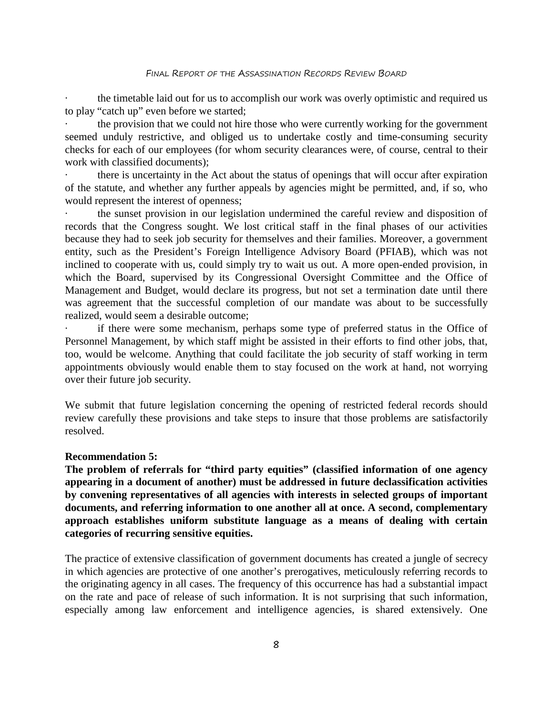#### FINAL REPORT OF THE ASSASSINATION RECORDS REVIEW BOARD

the timetable laid out for us to accomplish our work was overly optimistic and required us to play "catch up" even before we started;

the provision that we could not hire those who were currently working for the government seemed unduly restrictive, and obliged us to undertake costly and time-consuming security checks for each of our employees (for whom security clearances were, of course, central to their work with classified documents);

there is uncertainty in the Act about the status of openings that will occur after expiration of the statute, and whether any further appeals by agencies might be permitted, and, if so, who would represent the interest of openness;

the sunset provision in our legislation undermined the careful review and disposition of records that the Congress sought. We lost critical staff in the final phases of our activities because they had to seek job security for themselves and their families. Moreover, a government entity, such as the President's Foreign Intelligence Advisory Board (PFIAB), which was not inclined to cooperate with us, could simply try to wait us out. A more open-ended provision, in which the Board, supervised by its Congressional Oversight Committee and the Office of Management and Budget, would declare its progress, but not set a termination date until there was agreement that the successful completion of our mandate was about to be successfully realized, would seem a desirable outcome;

if there were some mechanism, perhaps some type of preferred status in the Office of Personnel Management, by which staff might be assisted in their efforts to find other jobs, that, too, would be welcome. Anything that could facilitate the job security of staff working in term appointments obviously would enable them to stay focused on the work at hand, not worrying over their future job security.

We submit that future legislation concerning the opening of restricted federal records should review carefully these provisions and take steps to insure that those problems are satisfactorily resolved.

### **Recommendation 5:**

**The problem of referrals for "third party equities" (classified information of one agency appearing in a document of another) must be addressed in future declassification activities by convening representatives of all agencies with interests in selected groups of important documents, and referring information to one another all at once. A second, complementary approach establishes uniform substitute language as a means of dealing with certain categories of recurring sensitive equities.**

The practice of extensive classification of government documents has created a jungle of secrecy in which agencies are protective of one another's prerogatives, meticulously referring records to the originating agency in all cases. The frequency of this occurrence has had a substantial impact on the rate and pace of release of such information. It is not surprising that such information, especially among law enforcement and intelligence agencies, is shared extensively. One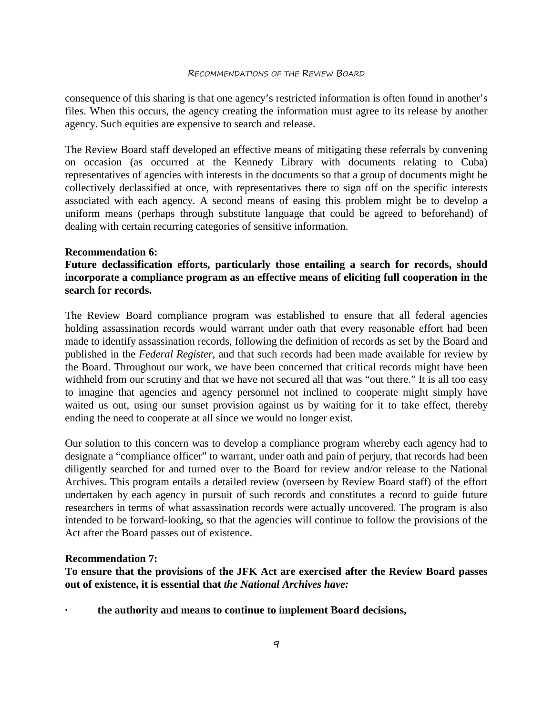consequence of this sharing is that one agency's restricted information is often found in another's files. When this occurs, the agency creating the information must agree to its release by another agency. Such equities are expensive to search and release.

The Review Board staff developed an effective means of mitigating these referrals by convening on occasion (as occurred at the Kennedy Library with documents relating to Cuba) representatives of agencies with interests in the documents so that a group of documents might be collectively declassified at once, with representatives there to sign off on the specific interests associated with each agency. A second means of easing this problem might be to develop a uniform means (perhaps through substitute language that could be agreed to beforehand) of dealing with certain recurring categories of sensitive information.

# **Recommendation 6:**

**Future declassification efforts, particularly those entailing a search for records, should incorporate a compliance program as an effective means of eliciting full cooperation in the search for records.** 

The Review Board compliance program was established to ensure that all federal agencies holding assassination records would warrant under oath that every reasonable effort had been made to identify assassination records, following the definition of records as set by the Board and published in the *Federal Register*, and that such records had been made available for review by the Board. Throughout our work, we have been concerned that critical records might have been withheld from our scrutiny and that we have not secured all that was "out there." It is all too easy to imagine that agencies and agency personnel not inclined to cooperate might simply have waited us out, using our sunset provision against us by waiting for it to take effect, thereby ending the need to cooperate at all since we would no longer exist.

Our solution to this concern was to develop a compliance program whereby each agency had to designate a "compliance officer" to warrant, under oath and pain of perjury, that records had been diligently searched for and turned over to the Board for review and/or release to the National Archives. This program entails a detailed review (overseen by Review Board staff) of the effort undertaken by each agency in pursuit of such records and constitutes a record to guide future researchers in terms of what assassination records were actually uncovered. The program is also intended to be forward-looking, so that the agencies will continue to follow the provisions of the Act after the Board passes out of existence.

### **Recommendation 7:**

**To ensure that the provisions of the JFK Act are exercised after the Review Board passes out of existence, it is essential that** *the National Archives have:* 

**· the authority and means to continue to implement Board decisions,**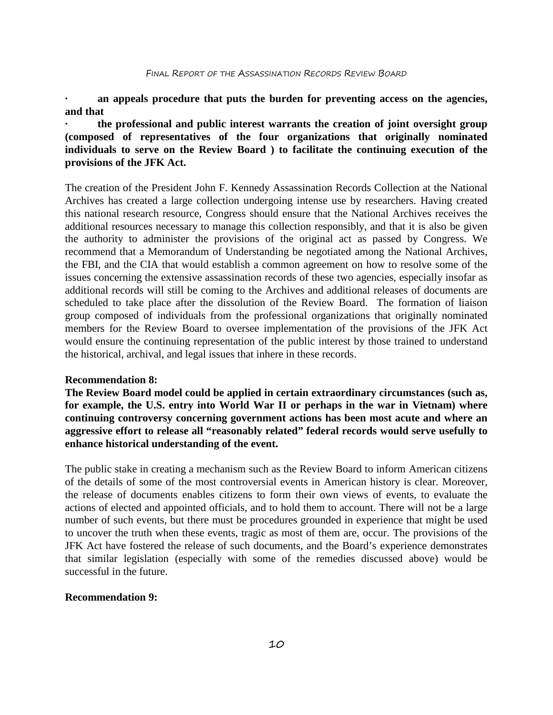**· an appeals procedure that puts the burden for preventing access on the agencies, and that** 

**· the professional and public interest warrants the creation of joint oversight group (composed of representatives of the four organizations that originally nominated individuals to serve on the Review Board ) to facilitate the continuing execution of the provisions of the JFK Act.**

The creation of the President John F. Kennedy Assassination Records Collection at the National Archives has created a large collection undergoing intense use by researchers. Having created this national research resource, Congress should ensure that the National Archives receives the additional resources necessary to manage this collection responsibly, and that it is also be given the authority to administer the provisions of the original act as passed by Congress. We recommend that a Memorandum of Understanding be negotiated among the National Archives, the FBI, and the CIA that would establish a common agreement on how to resolve some of the issues concerning the extensive assassination records of these two agencies, especially insofar as additional records will still be coming to the Archives and additional releases of documents are scheduled to take place after the dissolution of the Review Board. The formation of liaison group composed of individuals from the professional organizations that originally nominated members for the Review Board to oversee implementation of the provisions of the JFK Act would ensure the continuing representation of the public interest by those trained to understand the historical, archival, and legal issues that inhere in these records.

### **Recommendation 8:**

**The Review Board model could be applied in certain extraordinary circumstances (such as, for example, the U.S. entry into World War II or perhaps in the war in Vietnam) where continuing controversy concerning government actions has been most acute and where an aggressive effort to release all "reasonably related" federal records would serve usefully to enhance historical understanding of the event.**

The public stake in creating a mechanism such as the Review Board to inform American citizens of the details of some of the most controversial events in American history is clear. Moreover, the release of documents enables citizens to form their own views of events, to evaluate the actions of elected and appointed officials, and to hold them to account. There will not be a large number of such events, but there must be procedures grounded in experience that might be used to uncover the truth when these events, tragic as most of them are, occur. The provisions of the JFK Act have fostered the release of such documents, and the Board's experience demonstrates that similar legislation (especially with some of the remedies discussed above) would be successful in the future.

# **Recommendation 9:**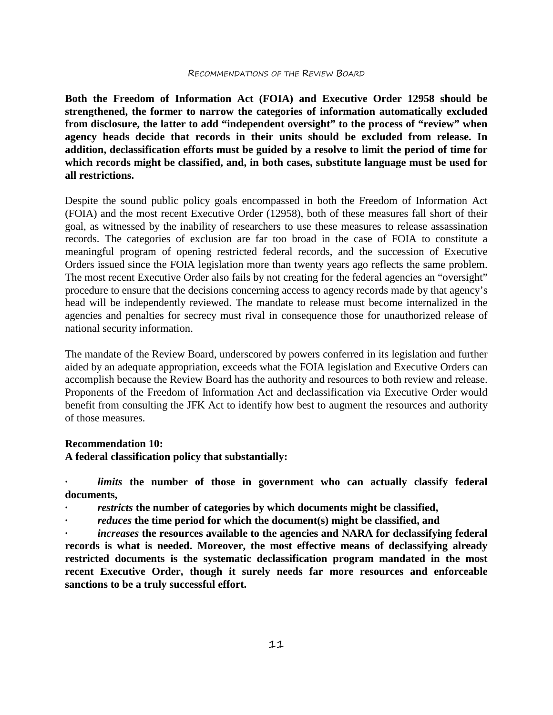#### RECOMMENDATIONS OF THE REVIEW BOARD

**Both the Freedom of Information Act (FOIA) and Executive Order 12958 should be strengthened, the former to narrow the categories of information automatically excluded from disclosure, the latter to add "independent oversight" to the process of "review" when agency heads decide that records in their units should be excluded from release. In addition, declassification efforts must be guided by a resolve to limit the period of time for which records might be classified, and, in both cases, substitute language must be used for all restrictions.**

Despite the sound public policy goals encompassed in both the Freedom of Information Act (FOIA) and the most recent Executive Order (12958), both of these measures fall short of their goal, as witnessed by the inability of researchers to use these measures to release assassination records. The categories of exclusion are far too broad in the case of FOIA to constitute a meaningful program of opening restricted federal records, and the succession of Executive Orders issued since the FOIA legislation more than twenty years ago reflects the same problem. The most recent Executive Order also fails by not creating for the federal agencies an "oversight" procedure to ensure that the decisions concerning access to agency records made by that agency's head will be independently reviewed. The mandate to release must become internalized in the agencies and penalties for secrecy must rival in consequence those for unauthorized release of national security information.

The mandate of the Review Board, underscored by powers conferred in its legislation and further aided by an adequate appropriation, exceeds what the FOIA legislation and Executive Orders can accomplish because the Review Board has the authority and resources to both review and release. Proponents of the Freedom of Information Act and declassification via Executive Order would benefit from consulting the JFK Act to identify how best to augment the resources and authority of those measures.

# **Recommendation 10:**

**A federal classification policy that substantially:** 

*limits* the number of those in government who can actually classify federal **documents,** 

- *· restricts* **the number of categories by which documents might be classified,**
- *· reduces* **the time period for which the document(s) might be classified, and**

*increases* the resources available to the agencies and NARA for declassifying federal **records is what is needed. Moreover, the most effective means of declassifying already restricted documents is the systematic declassification program mandated in the most recent Executive Order, though it surely needs far more resources and enforceable sanctions to be a truly successful effort.**